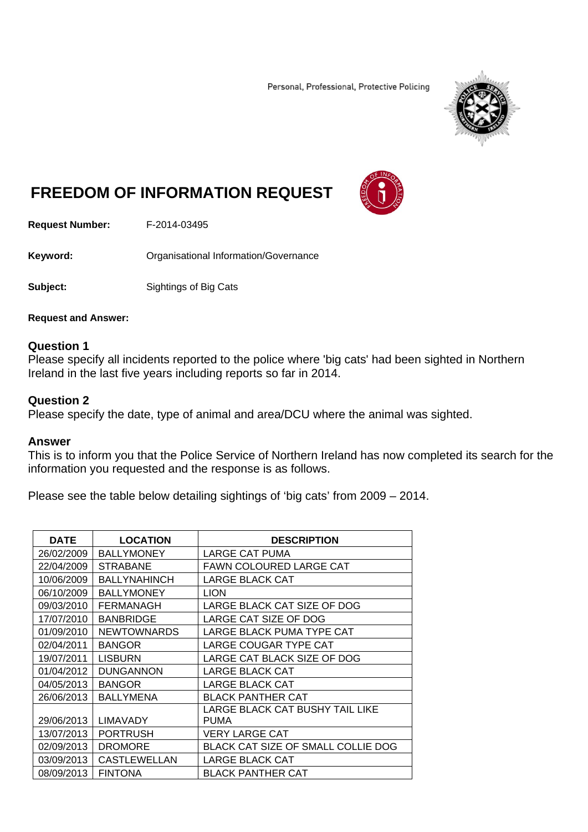Personal, Professional, Protective Policing



## **FREEDOM OF INFORMATION REQUEST**



**Request Number:** F-2014-03495

**Keyword: C**rganisational Information/Governance

**Subject:** Sightings of Big Cats

**Request and Answer:** 

## **Question 1**

Please specify all incidents reported to the police where 'big cats' had been sighted in Northern Ireland in the last five years including reports so far in 2014.

## **Question 2**

Please specify the date, type of animal and area/DCU where the animal was sighted.

## **Answer**

This is to inform you that the Police Service of Northern Ireland has now completed its search for the information you requested and the response is as follows.

Please see the table below detailing sightings of 'big cats' from 2009 – 2014.

| <b>DATE</b> | <b>LOCATION</b>     | <b>DESCRIPTION</b>                      |
|-------------|---------------------|-----------------------------------------|
| 26/02/2009  | <b>BALLYMONEY</b>   | LARGE CAT PUMA                          |
| 22/04/2009  | <b>STRABANE</b>     | FAWN COLOURED LARGE CAT                 |
| 10/06/2009  | <b>BALLYNAHINCH</b> | <b>LARGE BLACK CAT</b>                  |
| 06/10/2009  | <b>BALLYMONEY</b>   | <b>LION</b>                             |
| 09/03/2010  | <b>FERMANAGH</b>    | LARGE BLACK CAT SIZE OF DOG             |
| 17/07/2010  | <b>BANBRIDGE</b>    | LARGE CAT SIZE OF DOG                   |
| 01/09/2010  | <b>NEWTOWNARDS</b>  | LARGE BLACK PUMA TYPE CAT               |
| 02/04/2011  | <b>BANGOR</b>       | LARGE COUGAR TYPE CAT                   |
| 19/07/2011  | LISBURN             | LARGE CAT BLACK SIZE OF DOG             |
| 01/04/2012  | <b>DUNGANNON</b>    | LARGE BLACK CAT                         |
| 04/05/2013  | <b>BANGOR</b>       | <b>LARGE BLACK CAT</b>                  |
| 26/06/2013  | <b>BALLYMENA</b>    | BLACK PANTHER CAT                       |
| 29/06/2013  | <b>LIMAVADY</b>     | LARGE BLACK CAT BUSHY TAIL LIKE<br>PUMA |
| 13/07/2013  | <b>PORTRUSH</b>     | VERY LARGE CAT                          |
| 02/09/2013  | <b>DROMORE</b>      | BLACK CAT SIZE OF SMALL COLLIE DOG      |
| 03/09/2013  | <b>CASTLEWELLAN</b> | LARGE BLACK CAT                         |
| 08/09/2013  | <b>FINTONA</b>      | BLACK PANTHER CAT                       |